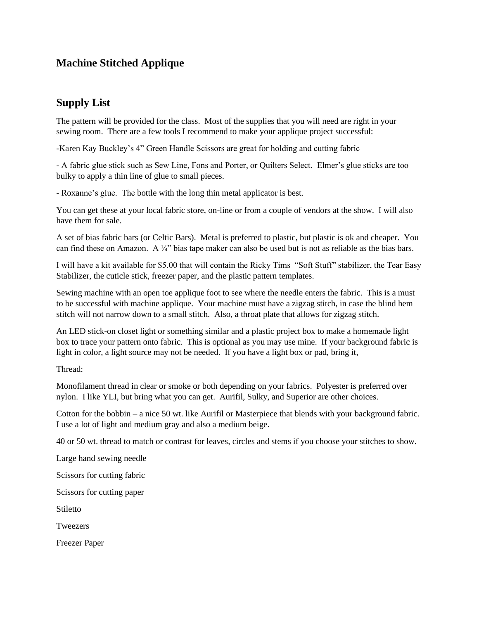## **Machine Stitched Applique**

## **Supply List**

The pattern will be provided for the class. Most of the supplies that you will need are right in your sewing room. There are a few tools I recommend to make your applique project successful:

-Karen Kay Buckley's 4" Green Handle Scissors are great for holding and cutting fabric

- A fabric glue stick such as Sew Line, Fons and Porter, or Quilters Select. Elmer's glue sticks are too bulky to apply a thin line of glue to small pieces.

- Roxanne's glue. The bottle with the long thin metal applicator is best.

You can get these at your local fabric store, on-line or from a couple of vendors at the show. I will also have them for sale.

A set of bias fabric bars (or Celtic Bars). Metal is preferred to plastic, but plastic is ok and cheaper. You can find these on Amazon. A ¼" bias tape maker can also be used but is not as reliable as the bias bars.

I will have a kit available for \$5.00 that will contain the Ricky Tims "Soft Stuff" stabilizer, the Tear Easy Stabilizer, the cuticle stick, freezer paper, and the plastic pattern templates.

Sewing machine with an open toe applique foot to see where the needle enters the fabric. This is a must to be successful with machine applique. Your machine must have a zigzag stitch, in case the blind hem stitch will not narrow down to a small stitch. Also, a throat plate that allows for zigzag stitch.

An LED stick-on closet light or something similar and a plastic project box to make a homemade light box to trace your pattern onto fabric. This is optional as you may use mine. If your background fabric is light in color, a light source may not be needed. If you have a light box or pad, bring it,

Thread:

Monofilament thread in clear or smoke or both depending on your fabrics. Polyester is preferred over nylon. I like YLI, but bring what you can get. Aurifil, Sulky, and Superior are other choices.

Cotton for the bobbin – a nice 50 wt. like Aurifil or Masterpiece that blends with your background fabric. I use a lot of light and medium gray and also a medium beige.

40 or 50 wt. thread to match or contrast for leaves, circles and stems if you choose your stitches to show.

Large hand sewing needle

Scissors for cutting fabric

Scissors for cutting paper

**Stiletto** 

**Tweezers** 

Freezer Paper